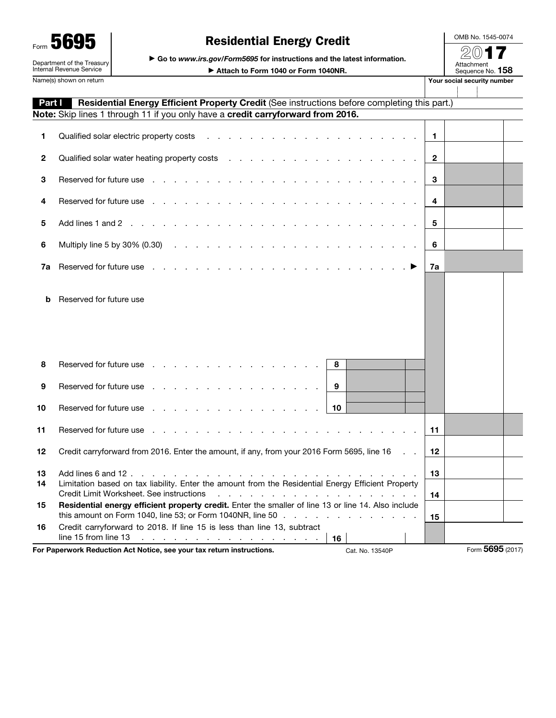| 5<br>Form                                              |
|--------------------------------------------------------|
| Department of the Treasury<br>Internal Revenue Service |

## Residential Energy Credit

▶ Go to *www.irs.gov/Form5695* for instructions and the latest information.

▶ Attach to Form 1040 or Form 1040NR.

2017 Attachment<br>Sequence No. **158** Name(s) shown on return **Your social security number** Your social security number

OMB No. 1545-0074

| Part I       | Residential Energy Efficient Property Credit (See instructions before completing this part.)                                                                                                                                        |              |                 |  |
|--------------|-------------------------------------------------------------------------------------------------------------------------------------------------------------------------------------------------------------------------------------|--------------|-----------------|--|
|              | Note: Skip lines 1 through 11 if you only have a credit carryforward from 2016.                                                                                                                                                     |              |                 |  |
| 1            | and a series of the contract of the contract of the contract of the contract of the contract of the contract of<br>Qualified solar electric property costs                                                                          | $\mathbf{1}$ |                 |  |
| $\mathbf{2}$ |                                                                                                                                                                                                                                     | $\mathbf{2}$ |                 |  |
| 3            | Reserved for future use enterprise and and a series and a series and a series of the series of the series of the series of the series of the series of the series of the series of the series of the series of the series of t      | 3            |                 |  |
| 4            | Reserved for future use entering the state of the state of the state of the state of the state of the state of the state of the state of the state of the state of the state of the state of the state of the state of the sta      | 4            |                 |  |
| 5            |                                                                                                                                                                                                                                     | 5            |                 |  |
| 6            |                                                                                                                                                                                                                                     | 6            |                 |  |
| 7a           | Reserved for future use reference and contact the contact of the contact of the contact of the contact of the contact of the contact of the contact of the contact of the contact of the contact of the contact of the contact      | 7a           |                 |  |
| b            | Reserved for future use                                                                                                                                                                                                             |              |                 |  |
| 8            | Reserved for future use reserved in the set of the set of the set of the set of the set of the set of the set of the set of the set of the set of the set of the set of the set of the set of the set of the set of the set of<br>8 |              |                 |  |
| 9            | Reserved for future use reserved in the contract of the contract of the contract of the contract of the contract of the contract of the contract of the contract of the contract of the contract of the contract of the contra<br>9 |              |                 |  |
| 10           | Reserved for future use response in the contract of the set of the set of the set of the set of the set of the<br>10                                                                                                                |              |                 |  |
| 11           | Reserved for future use reserved for the set of the set of the set of the Reserve                                                                                                                                                   | 11           |                 |  |
| 12           | Credit carryforward from 2016. Enter the amount, if any, from your 2016 Form 5695, line 16<br>$\sim$ $\sim$                                                                                                                         | 12           |                 |  |
| 13<br>14     | Limitation based on tax liability. Enter the amount from the Residential Energy Efficient Property<br>Credit Limit Worksheet. See instructions                                                                                      | 13<br>14     |                 |  |
| 15           | Residential energy efficient property credit. Enter the smaller of line 13 or line 14. Also include<br>this amount on Form 1040, line 53; or Form 1040NR, line 50                                                                   | 15           |                 |  |
| 16           | Credit carryforward to 2018. If line 15 is less than line 13, subtract<br>line 15 from line 13 $\ldots$ $\ldots$ $\ldots$ $\ldots$ $\ldots$ $\ldots$ $\ldots$ $\ldots$<br>16                                                        |              |                 |  |
|              | For Paperwork Reduction Act Notice, see your tax return instructions.<br>Cat. No. 13540P                                                                                                                                            |              | Form 5695 (2017 |  |